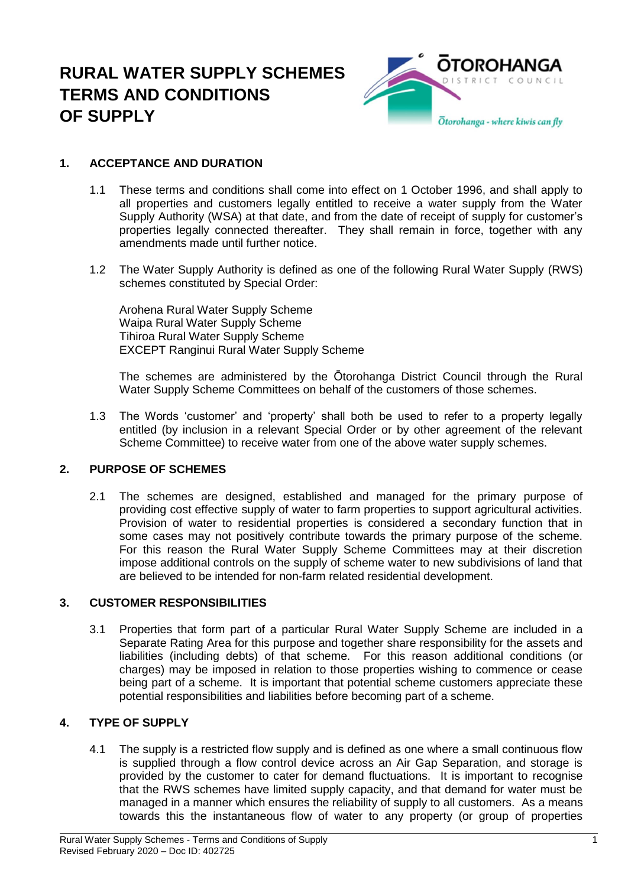# **RURAL WATER SUPPLY SCHEMES TERMS AND CONDITIONS OF SUPPLY**



# **1. ACCEPTANCE AND DURATION**

- 1.1 These terms and conditions shall come into effect on 1 October 1996, and shall apply to all properties and customers legally entitled to receive a water supply from the Water Supply Authority (WSA) at that date, and from the date of receipt of supply for customer's properties legally connected thereafter. They shall remain in force, together with any amendments made until further notice.
- 1.2 The Water Supply Authority is defined as one of the following Rural Water Supply (RWS) schemes constituted by Special Order:

Arohena Rural Water Supply Scheme Waipa Rural Water Supply Scheme Tihiroa Rural Water Supply Scheme EXCEPT Ranginui Rural Water Supply Scheme

The schemes are administered by the Ōtorohanga District Council through the Rural Water Supply Scheme Committees on behalf of the customers of those schemes.

1.3 The Words 'customer' and 'property' shall both be used to refer to a property legally entitled (by inclusion in a relevant Special Order or by other agreement of the relevant Scheme Committee) to receive water from one of the above water supply schemes.

#### **2. PURPOSE OF SCHEMES**

2.1 The schemes are designed, established and managed for the primary purpose of providing cost effective supply of water to farm properties to support agricultural activities. Provision of water to residential properties is considered a secondary function that in some cases may not positively contribute towards the primary purpose of the scheme. For this reason the Rural Water Supply Scheme Committees may at their discretion impose additional controls on the supply of scheme water to new subdivisions of land that are believed to be intended for non-farm related residential development.

#### **3. CUSTOMER RESPONSIBILITIES**

3.1 Properties that form part of a particular Rural Water Supply Scheme are included in a Separate Rating Area for this purpose and together share responsibility for the assets and liabilities (including debts) of that scheme. For this reason additional conditions (or charges) may be imposed in relation to those properties wishing to commence or cease being part of a scheme. It is important that potential scheme customers appreciate these potential responsibilities and liabilities before becoming part of a scheme.

# **4. TYPE OF SUPPLY**

4.1 The supply is a restricted flow supply and is defined as one where a small continuous flow is supplied through a flow control device across an Air Gap Separation, and storage is provided by the customer to cater for demand fluctuations. It is important to recognise that the RWS schemes have limited supply capacity, and that demand for water must be managed in a manner which ensures the reliability of supply to all customers. As a means towards this the instantaneous flow of water to any property (or group of properties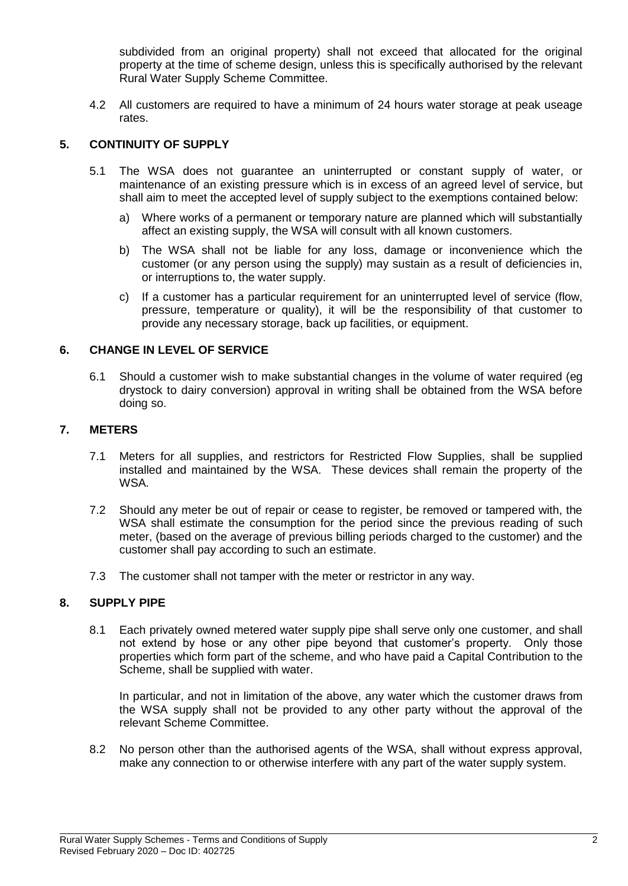subdivided from an original property) shall not exceed that allocated for the original property at the time of scheme design, unless this is specifically authorised by the relevant Rural Water Supply Scheme Committee.

4.2 All customers are required to have a minimum of 24 hours water storage at peak useage rates.

## **5. CONTINUITY OF SUPPLY**

- 5.1 The WSA does not guarantee an uninterrupted or constant supply of water, or maintenance of an existing pressure which is in excess of an agreed level of service, but shall aim to meet the accepted level of supply subject to the exemptions contained below:
	- a) Where works of a permanent or temporary nature are planned which will substantially affect an existing supply, the WSA will consult with all known customers.
	- b) The WSA shall not be liable for any loss, damage or inconvenience which the customer (or any person using the supply) may sustain as a result of deficiencies in, or interruptions to, the water supply.
	- c) If a customer has a particular requirement for an uninterrupted level of service (flow, pressure, temperature or quality), it will be the responsibility of that customer to provide any necessary storage, back up facilities, or equipment.

#### **6. CHANGE IN LEVEL OF SERVICE**

6.1 Should a customer wish to make substantial changes in the volume of water required (eg drystock to dairy conversion) approval in writing shall be obtained from the WSA before doing so.

#### **7. METERS**

- 7.1 Meters for all supplies, and restrictors for Restricted Flow Supplies, shall be supplied installed and maintained by the WSA. These devices shall remain the property of the WSA.
- 7.2 Should any meter be out of repair or cease to register, be removed or tampered with, the WSA shall estimate the consumption for the period since the previous reading of such meter, (based on the average of previous billing periods charged to the customer) and the customer shall pay according to such an estimate.
- 7.3 The customer shall not tamper with the meter or restrictor in any way.

#### **8. SUPPLY PIPE**

8.1 Each privately owned metered water supply pipe shall serve only one customer, and shall not extend by hose or any other pipe beyond that customer's property. Only those properties which form part of the scheme, and who have paid a Capital Contribution to the Scheme, shall be supplied with water.

In particular, and not in limitation of the above, any water which the customer draws from the WSA supply shall not be provided to any other party without the approval of the relevant Scheme Committee.

8.2 No person other than the authorised agents of the WSA, shall without express approval, make any connection to or otherwise interfere with any part of the water supply system.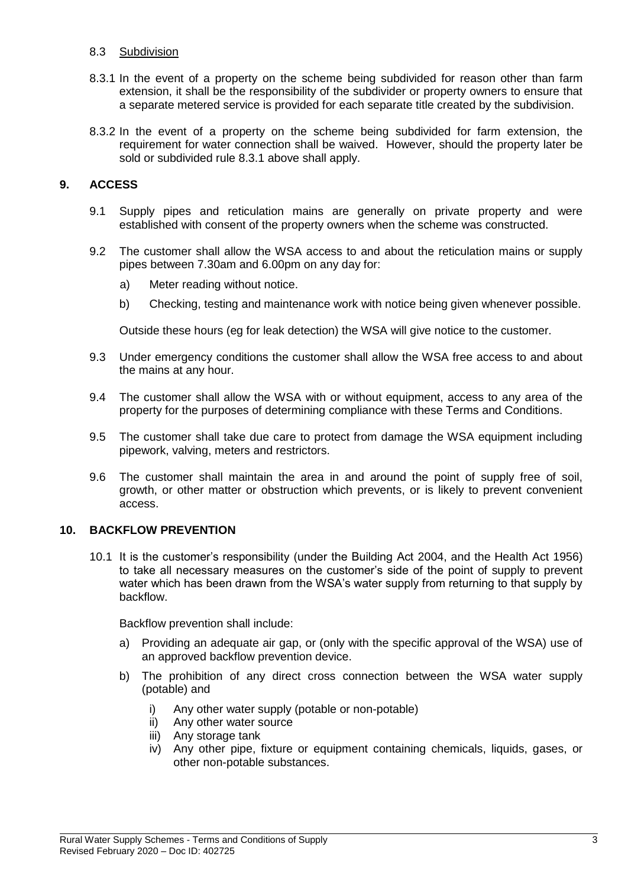#### 8.3 Subdivision

- 8.3.1 In the event of a property on the scheme being subdivided for reason other than farm extension, it shall be the responsibility of the subdivider or property owners to ensure that a separate metered service is provided for each separate title created by the subdivision.
- 8.3.2 In the event of a property on the scheme being subdivided for farm extension, the requirement for water connection shall be waived. However, should the property later be sold or subdivided rule 8.3.1 above shall apply.

### **9. ACCESS**

- 9.1 Supply pipes and reticulation mains are generally on private property and were established with consent of the property owners when the scheme was constructed.
- 9.2 The customer shall allow the WSA access to and about the reticulation mains or supply pipes between 7.30am and 6.00pm on any day for:
	- a) Meter reading without notice.
	- b) Checking, testing and maintenance work with notice being given whenever possible.

Outside these hours (eg for leak detection) the WSA will give notice to the customer.

- 9.3 Under emergency conditions the customer shall allow the WSA free access to and about the mains at any hour.
- 9.4 The customer shall allow the WSA with or without equipment, access to any area of the property for the purposes of determining compliance with these Terms and Conditions.
- 9.5 The customer shall take due care to protect from damage the WSA equipment including pipework, valving, meters and restrictors.
- 9.6 The customer shall maintain the area in and around the point of supply free of soil, growth, or other matter or obstruction which prevents, or is likely to prevent convenient access.

#### **10. BACKFLOW PREVENTION**

10.1 It is the customer's responsibility (under the Building Act 2004, and the Health Act 1956) to take all necessary measures on the customer's side of the point of supply to prevent water which has been drawn from the WSA's water supply from returning to that supply by backflow.

Backflow prevention shall include:

- a) Providing an adequate air gap, or (only with the specific approval of the WSA) use of an approved backflow prevention device.
- b) The prohibition of any direct cross connection between the WSA water supply (potable) and
	- i) Any other water supply (potable or non-potable)
	- ii) Any other water source
	- iii) Any storage tank
	- iv) Any other pipe, fixture or equipment containing chemicals, liquids, gases, or other non-potable substances.